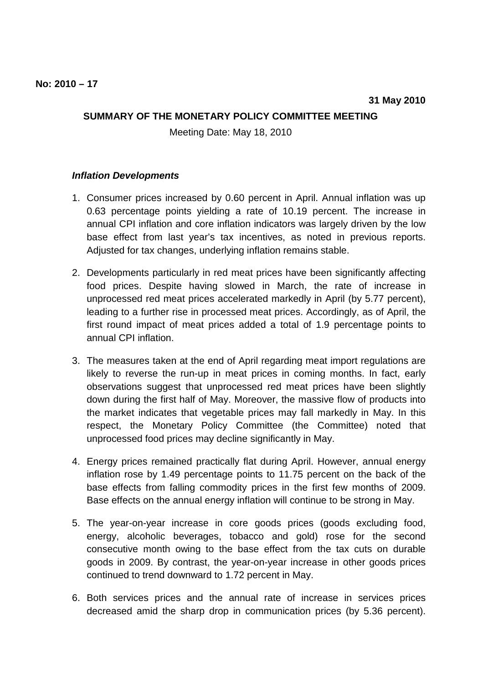## **SUMMARY OF THE MONETARY POLICY COMMITTEE MEETING**

Meeting Date: May 18, 2010

## **Inflation Developments**

- 1. Consumer prices increased by 0.60 percent in April. Annual inflation was up 0.63 percentage points yielding a rate of 10.19 percent. The increase in annual CPI inflation and core inflation indicators was largely driven by the low base effect from last year's tax incentives, as noted in previous reports. Adjusted for tax changes, underlying inflation remains stable.
- 2. Developments particularly in red meat prices have been significantly affecting food prices. Despite having slowed in March, the rate of increase in unprocessed red meat prices accelerated markedly in April (by 5.77 percent), leading to a further rise in processed meat prices. Accordingly, as of April, the first round impact of meat prices added a total of 1.9 percentage points to annual CPI inflation.
- 3. The measures taken at the end of April regarding meat import regulations are likely to reverse the run-up in meat prices in coming months. In fact, early observations suggest that unprocessed red meat prices have been slightly down during the first half of May. Moreover, the massive flow of products into the market indicates that vegetable prices may fall markedly in May. In this respect, the Monetary Policy Committee (the Committee) noted that unprocessed food prices may decline significantly in May.
- 4. Energy prices remained practically flat during April. However, annual energy inflation rose by 1.49 percentage points to 11.75 percent on the back of the base effects from falling commodity prices in the first few months of 2009. Base effects on the annual energy inflation will continue to be strong in May.
- 5. The year-on-year increase in core goods prices (goods excluding food, energy, alcoholic beverages, tobacco and gold) rose for the second consecutive month owing to the base effect from the tax cuts on durable goods in 2009. By contrast, the year-on-year increase in other goods prices continued to trend downward to 1.72 percent in May.
- 6. Both services prices and the annual rate of increase in services prices decreased amid the sharp drop in communication prices (by 5.36 percent).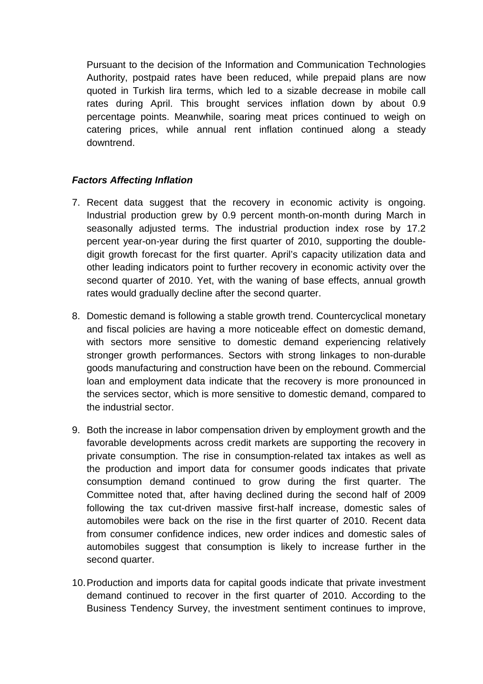Pursuant to the decision of the Information and Communication Technologies Authority, postpaid rates have been reduced, while prepaid plans are now quoted in Turkish lira terms, which led to a sizable decrease in mobile call rates during April. This brought services inflation down by about 0.9 percentage points. Meanwhile, soaring meat prices continued to weigh on catering prices, while annual rent inflation continued along a steady downtrend.

## **Factors Affecting Inflation**

- 7. Recent data suggest that the recovery in economic activity is ongoing. Industrial production grew by 0.9 percent month-on-month during March in seasonally adjusted terms. The industrial production index rose by 17.2 percent year-on-year during the first quarter of 2010, supporting the doubledigit growth forecast for the first quarter. April's capacity utilization data and other leading indicators point to further recovery in economic activity over the second quarter of 2010. Yet, with the waning of base effects, annual growth rates would gradually decline after the second quarter.
- 8. Domestic demand is following a stable growth trend. Countercyclical monetary and fiscal policies are having a more noticeable effect on domestic demand, with sectors more sensitive to domestic demand experiencing relatively stronger growth performances. Sectors with strong linkages to non-durable goods manufacturing and construction have been on the rebound. Commercial loan and employment data indicate that the recovery is more pronounced in the services sector, which is more sensitive to domestic demand, compared to the industrial sector.
- 9. Both the increase in labor compensation driven by employment growth and the favorable developments across credit markets are supporting the recovery in private consumption. The rise in consumption-related tax intakes as well as the production and import data for consumer goods indicates that private consumption demand continued to grow during the first quarter. The Committee noted that, after having declined during the second half of 2009 following the tax cut-driven massive first-half increase, domestic sales of automobiles were back on the rise in the first quarter of 2010. Recent data from consumer confidence indices, new order indices and domestic sales of automobiles suggest that consumption is likely to increase further in the second quarter.
- 10. Production and imports data for capital goods indicate that private investment demand continued to recover in the first quarter of 2010. According to the Business Tendency Survey, the investment sentiment continues to improve,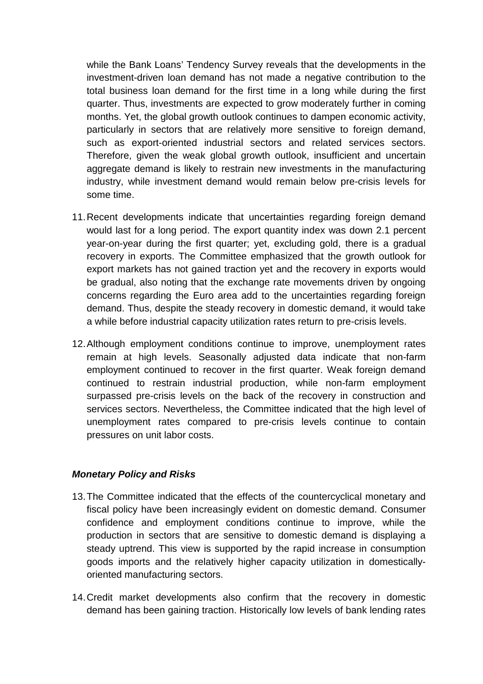while the Bank Loans' Tendency Survey reveals that the developments in the investment-driven loan demand has not made a negative contribution to the total business loan demand for the first time in a long while during the first quarter. Thus, investments are expected to grow moderately further in coming months. Yet, the global growth outlook continues to dampen economic activity, particularly in sectors that are relatively more sensitive to foreign demand, such as export-oriented industrial sectors and related services sectors. Therefore, given the weak global growth outlook, insufficient and uncertain aggregate demand is likely to restrain new investments in the manufacturing industry, while investment demand would remain below pre-crisis levels for some time.

- 11. Recent developments indicate that uncertainties regarding foreign demand would last for a long period. The export quantity index was down 2.1 percent year-on-year during the first quarter; yet, excluding gold, there is a gradual recovery in exports. The Committee emphasized that the growth outlook for export markets has not gained traction yet and the recovery in exports would be gradual, also noting that the exchange rate movements driven by ongoing concerns regarding the Euro area add to the uncertainties regarding foreign demand. Thus, despite the steady recovery in domestic demand, it would take a while before industrial capacity utilization rates return to pre-crisis levels.
- 12. Although employment conditions continue to improve, unemployment rates remain at high levels. Seasonally adjusted data indicate that non-farm employment continued to recover in the first quarter. Weak foreign demand continued to restrain industrial production, while non-farm employment surpassed pre-crisis levels on the back of the recovery in construction and services sectors. Nevertheless, the Committee indicated that the high level of unemployment rates compared to pre-crisis levels continue to contain pressures on unit labor costs.

## **Monetary Policy and Risks**

- 13. The Committee indicated that the effects of the countercyclical monetary and fiscal policy have been increasingly evident on domestic demand. Consumer confidence and employment conditions continue to improve, while the production in sectors that are sensitive to domestic demand is displaying a steady uptrend. This view is supported by the rapid increase in consumption goods imports and the relatively higher capacity utilization in domesticallyoriented manufacturing sectors.
- 14. Credit market developments also confirm that the recovery in domestic demand has been gaining traction. Historically low levels of bank lending rates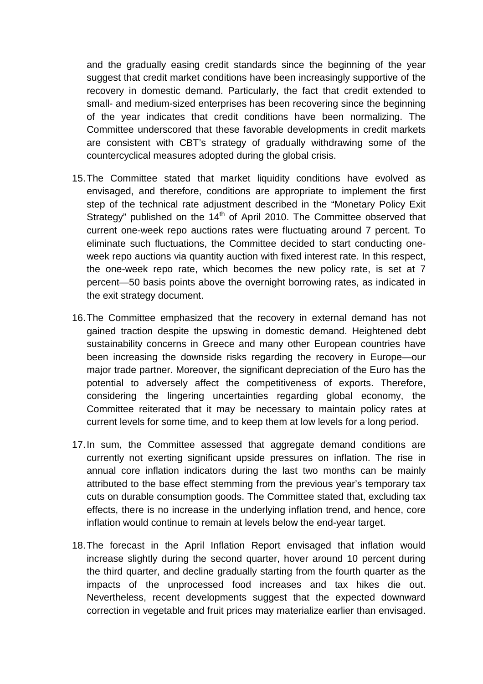and the gradually easing credit standards since the beginning of the year suggest that credit market conditions have been increasingly supportive of the recovery in domestic demand. Particularly, the fact that credit extended to small- and medium-sized enterprises has been recovering since the beginning of the year indicates that credit conditions have been normalizing. The Committee underscored that these favorable developments in credit markets are consistent with CBT's strategy of gradually withdrawing some of the countercyclical measures adopted during the global crisis.

- 15. The Committee stated that market liquidity conditions have evolved as envisaged, and therefore, conditions are appropriate to implement the first step of the technical rate adjustment described in the "Monetary Policy Exit Strategy" published on the  $14<sup>th</sup>$  of April 2010. The Committee observed that current one-week repo auctions rates were fluctuating around 7 percent. To eliminate such fluctuations, the Committee decided to start conducting oneweek repo auctions via quantity auction with fixed interest rate. In this respect, the one-week repo rate, which becomes the new policy rate, is set at 7 percent—50 basis points above the overnight borrowing rates, as indicated in the exit strategy document.
- 16. The Committee emphasized that the recovery in external demand has not gained traction despite the upswing in domestic demand. Heightened debt sustainability concerns in Greece and many other European countries have been increasing the downside risks regarding the recovery in Europe—our major trade partner. Moreover, the significant depreciation of the Euro has the potential to adversely affect the competitiveness of exports. Therefore, considering the lingering uncertainties regarding global economy, the Committee reiterated that it may be necessary to maintain policy rates at current levels for some time, and to keep them at low levels for a long period.
- 17. In sum, the Committee assessed that aggregate demand conditions are currently not exerting significant upside pressures on inflation. The rise in annual core inflation indicators during the last two months can be mainly attributed to the base effect stemming from the previous year's temporary tax cuts on durable consumption goods. The Committee stated that, excluding tax effects, there is no increase in the underlying inflation trend, and hence, core inflation would continue to remain at levels below the end-year target.
- 18. The forecast in the April Inflation Report envisaged that inflation would increase slightly during the second quarter, hover around 10 percent during the third quarter, and decline gradually starting from the fourth quarter as the impacts of the unprocessed food increases and tax hikes die out. Nevertheless, recent developments suggest that the expected downward correction in vegetable and fruit prices may materialize earlier than envisaged.